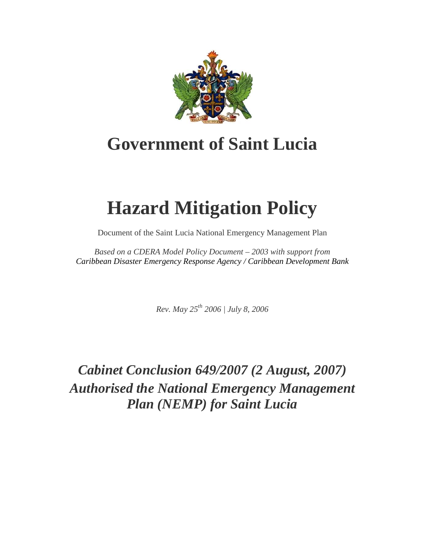

# **Government of Saint Lucia**

# **Hazard Mitigation Policy**

Document of the Saint Lucia National Emergency Management Plan

*Based on a CDERA Model Policy Document – 2003 with support from Caribbean Disaster Emergency Response Agency / Caribbean Development Bank*

*Rev. May 25th 2006 | July 8, 2006*

*Cabinet Conclusion 649/2007 (2 August, 2007) Authorised the National Emergency Management Plan (NEMP) for Saint Lucia*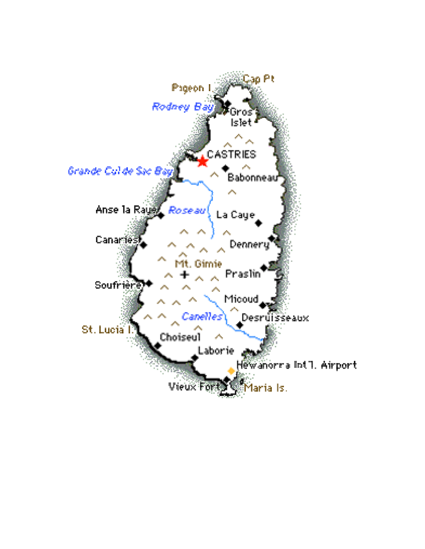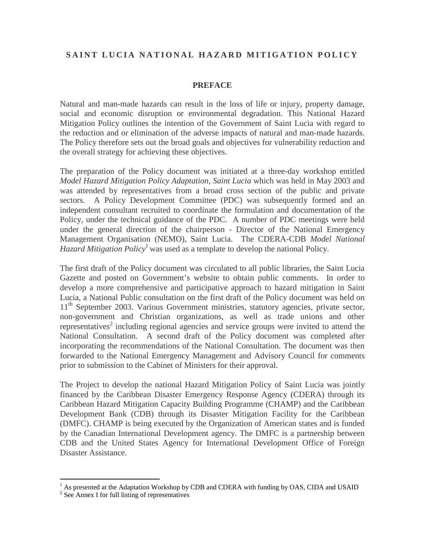# **SAINT LUCIA NATIONAL HAZARD MITIGATION POLICY**

## **PREFACE**

Natural and man-made hazards can result in the loss of life or injury, property damage, social and economic disruption or environmental degradation. This National Hazard Mitigation Policy outlines the intention of the Government of Saint Lucia with regard to the reduction and or elimination of the adverse impacts of natural and man-made hazards. The Policy therefore sets out the broad goals and objectives for vulnerability reduction and the overall strategy for achieving these objectives.

The preparation of the Policy document was initiated at a three-day workshop entitled *Model Hazard Mitigation Policy Adaptation, Saint Lucia* which was held in May 2003 and was attended by representatives from a broad cross section of the public and private sectors. A Policy Development Committee (PDC) was subsequently formed and an independent consultant recruited to coordinate the formulation and documentation of the Policy, under the technical guidance of the PDC. A number of PDC meetings were held under the general direction of the chairperson - Director of the National Emergency Management Organisation (NEMO), Saint Lucia. The CDERA-CDB *Model National Hazard Mitigation Policy*<sup>1</sup> was used as a template to develop the national Policy.

The first draft of the Policy document was circulated to all public libraries, the Saint Lucia Gazette and posted on Government's website to obtain public comments. In order to develop a more comprehensive and participative approach to hazard mitigation in Saint Lucia, a National Public consultation on the first draft of the Policy document was held on 11<sup>th</sup> September 2003. Various Government ministries, statutory agencies, private sector, non-government and Christian organizations, as well as trade unions and other representatives<sup>2</sup> including regional agencies and service groups were invited to attend the National Consultation. A second draft of the Policy document was completed after incorporating the recommendations of the National Consultation. The document was then forwarded to the National Emergency Management and Advisory Council for comments prior to submission to the Cabinet of Ministers for their approval.

The Project to develop the national Hazard Mitigation Policy of Saint Lucia was jointly financed by the Caribbean Disaster Emergency Response Agency (CDERA) through its Caribbean Hazard Mitigation Capacity Building Programme (CHAMP) and the Caribbean Development Bank (CDB) through its Disaster Mitigation Facility for the Caribbean (DMFC). CHAMP is being executed by the Organization of American states and is funded by the Canadian International Development agency. The DMFC is a partnership between CDB and the United States Agency for International Development Office of Foreign Disaster Assistance.

<sup>&</sup>lt;sup>1</sup> As presented at the Adaptation Workshop by CDB and CDERA with funding by OAS, CIDA and USAID

<sup>2</sup> See Annex I for full listing of representatives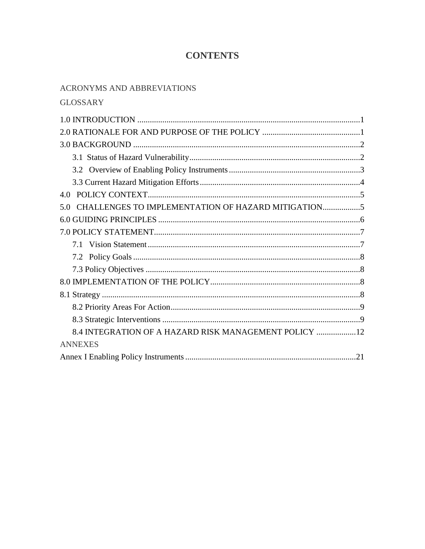# **CONTENTS**

# ACRONYMS AND ABBREVIATIONS

|  |  | <b>GLOSSARY</b> |
|--|--|-----------------|
|--|--|-----------------|

| CHALLENGES TO IMPLEMENTATION OF HAZARD MITIGATION<br>5.0 |
|----------------------------------------------------------|
|                                                          |
|                                                          |
|                                                          |
|                                                          |
|                                                          |
|                                                          |
|                                                          |
|                                                          |
|                                                          |
| 8.4 INTEGRATION OF A HAZARD RISK MANAGEMENT POLICY  12   |
| <b>ANNEXES</b>                                           |
|                                                          |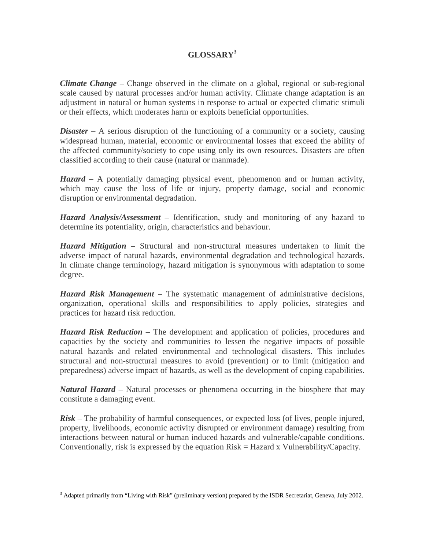# **GLOSSARY<sup>3</sup>**

*Climate Change –* Change observed in the climate on a global, regional or sub-regional scale caused by natural processes and/or human activity. Climate change adaptation is an adjustment in natural or human systems in response to actual or expected climatic stimuli or their effects, which moderates harm or exploits beneficial opportunities.

*Disaster* – A serious disruption of the functioning of a community or a society, causing widespread human, material, economic or environmental losses that exceed the ability of the affected community/society to cope using only its own resources. Disasters are often classified according to their cause (natural or manmade).

*Hazard* – A potentially damaging physical event, phenomenon and or human activity, which may cause the loss of life or injury, property damage, social and economic disruption or environmental degradation.

*Hazard Analysis/Assessment* – Identification, study and monitoring of any hazard to determine its potentiality, origin, characteristics and behaviour.

*Hazard Mitigation* – Structural and non-structural measures undertaken to limit the adverse impact of natural hazards, environmental degradation and technological hazards. In climate change terminology, hazard mitigation is synonymous with adaptation to some degree.

*Hazard Risk Management* – The systematic management of administrative decisions, organization, operational skills and responsibilities to apply policies, strategies and practices for hazard risk reduction.

*Hazard Risk Reduction* – The development and application of policies, procedures and capacities by the society and communities to lessen the negative impacts of possible natural hazards and related environmental and technological disasters. This includes structural and non-structural measures to avoid (prevention) or to limit (mitigation and preparedness) adverse impact of hazards, as well as the development of coping capabilities.

*Natural Hazard* – Natural processes or phenomena occurring in the biosphere that may constitute a damaging event.

*Risk* – The probability of harmful consequences, or expected loss (of lives, people injured, property, livelihoods, economic activity disrupted or environment damage) resulting from interactions between natural or human induced hazards and vulnerable/capable conditions. Conventionally, risk is expressed by the equation Risk = Hazard x Vulnerability/Capacity.

 $\overline{a}$ <sup>3</sup> Adapted primarily from "Living with Risk" (preliminary version) prepared by the ISDR Secretariat, Geneva, July 2002.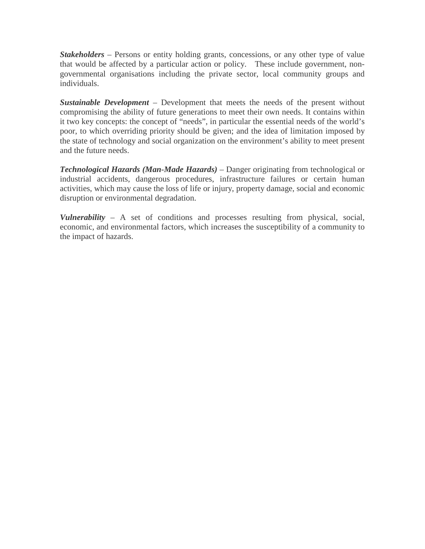*Stakeholders* – Persons or entity holding grants, concessions, or any other type of value that would be affected by a particular action or policy. These include government, nongovernmental organisations including the private sector, local community groups and individuals.

*Sustainable Development* – Development that meets the needs of the present without compromising the ability of future generations to meet their own needs. It contains within it two key concepts: the concept of "needs", in particular the essential needs of the world's poor, to which overriding priority should be given; and the idea of limitation imposed by the state of technology and social organization on the environment's ability to meet present and the future needs.

*Technological Hazards (Man-Made Hazards)* – Danger originating from technological or industrial accidents, dangerous procedures, infrastructure failures or certain human activities, which may cause the loss of life or injury, property damage, social and economic disruption or environmental degradation.

*Vulnerability* – A set of conditions and processes resulting from physical, social, economic, and environmental factors, which increases the susceptibility of a community to the impact of hazards.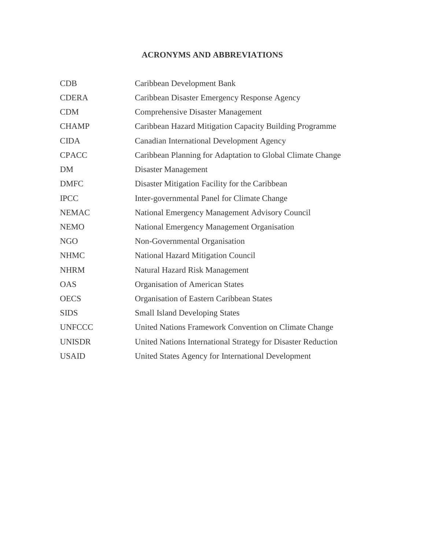# **ACRONYMS AND ABBREVIATIONS**

| <b>CDB</b>    | Caribbean Development Bank                                   |  |
|---------------|--------------------------------------------------------------|--|
| <b>CDERA</b>  | Caribbean Disaster Emergency Response Agency                 |  |
| <b>CDM</b>    | <b>Comprehensive Disaster Management</b>                     |  |
| <b>CHAMP</b>  | Caribbean Hazard Mitigation Capacity Building Programme      |  |
| <b>CIDA</b>   | <b>Canadian International Development Agency</b>             |  |
| <b>CPACC</b>  | Caribbean Planning for Adaptation to Global Climate Change   |  |
| <b>DM</b>     | Disaster Management                                          |  |
| <b>DMFC</b>   | Disaster Mitigation Facility for the Caribbean               |  |
| <b>IPCC</b>   | Inter-governmental Panel for Climate Change                  |  |
| <b>NEMAC</b>  | National Emergency Management Advisory Council               |  |
| <b>NEMO</b>   | National Emergency Management Organisation                   |  |
| <b>NGO</b>    | Non-Governmental Organisation                                |  |
| <b>NHMC</b>   | <b>National Hazard Mitigation Council</b>                    |  |
| <b>NHRM</b>   | <b>Natural Hazard Risk Management</b>                        |  |
| <b>OAS</b>    | <b>Organisation of American States</b>                       |  |
| <b>OECS</b>   | Organisation of Eastern Caribbean States                     |  |
| <b>SIDS</b>   | <b>Small Island Developing States</b>                        |  |
| <b>UNFCCC</b> | United Nations Framework Convention on Climate Change        |  |
| <b>UNISDR</b> | United Nations International Strategy for Disaster Reduction |  |
| <b>USAID</b>  | United States Agency for International Development           |  |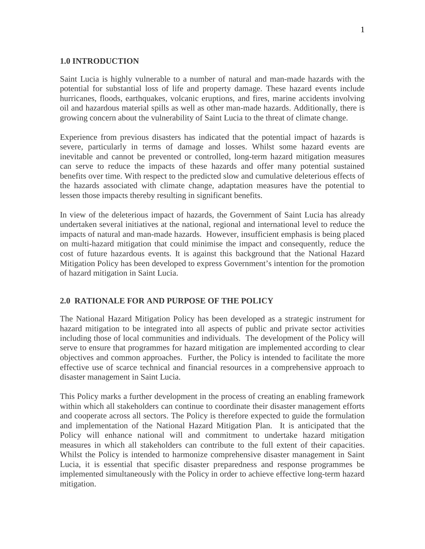#### **1.0 INTRODUCTION**

Saint Lucia is highly vulnerable to a number of natural and man-made hazards with the potential for substantial loss of life and property damage. These hazard events include hurricanes, floods, earthquakes, volcanic eruptions, and fires, marine accidents involving oil and hazardous material spills as well as other man-made hazards. Additionally, there is growing concern about the vulnerability of Saint Lucia to the threat of climate change.

Experience from previous disasters has indicated that the potential impact of hazards is severe, particularly in terms of damage and losses. Whilst some hazard events are inevitable and cannot be prevented or controlled, long-term hazard mitigation measures can serve to reduce the impacts of these hazards and offer many potential sustained benefits over time. With respect to the predicted slow and cumulative deleterious effects of the hazards associated with climate change, adaptation measures have the potential to lessen those impacts thereby resulting in significant benefits.

In view of the deleterious impact of hazards, the Government of Saint Lucia has already undertaken several initiatives at the national, regional and international level to reduce the impacts of natural and man-made hazards. However, insufficient emphasis is being placed on multi-hazard mitigation that could minimise the impact and consequently, reduce the cost of future hazardous events. It is against this background that the National Hazard Mitigation Policy has been developed to express Government's intention for the promotion of hazard mitigation in Saint Lucia.

#### **2.0 RATIONALE FOR AND PURPOSE OF THE POLICY**

The National Hazard Mitigation Policy has been developed as a strategic instrument for hazard mitigation to be integrated into all aspects of public and private sector activities including those of local communities and individuals. The development of the Policy will serve to ensure that programmes for hazard mitigation are implemented according to clear objectives and common approaches. Further, the Policy is intended to facilitate the more effective use of scarce technical and financial resources in a comprehensive approach to disaster management in Saint Lucia.

This Policy marks a further development in the process of creating an enabling framework within which all stakeholders can continue to coordinate their disaster management efforts and cooperate across all sectors. The Policy is therefore expected to guide the formulation and implementation of the National Hazard Mitigation Plan. It is anticipated that the Policy will enhance national will and commitment to undertake hazard mitigation measures in which all stakeholders can contribute to the full extent of their capacities. Whilst the Policy is intended to harmonize comprehensive disaster management in Saint Lucia, it is essential that specific disaster preparedness and response programmes be implemented simultaneously with the Policy in order to achieve effective long-term hazard mitigation.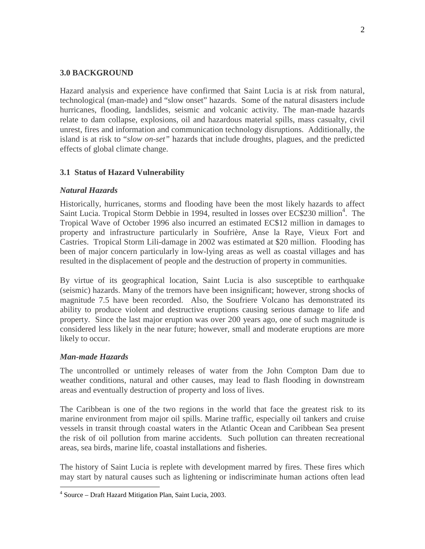## **3.0 BACKGROUND**

Hazard analysis and experience have confirmed that Saint Lucia is at risk from natural, technological (man-made) and "slow onset" hazards. Some of the natural disasters include hurricanes, flooding, landslides, seismic and volcanic activity. The man-made hazards relate to dam collapse, explosions, oil and hazardous material spills, mass casualty, civil unrest, fires and information and communication technology disruptions. Additionally, the island is at risk to "*slow on-set"* hazards that include droughts, plagues, and the predicted effects of global climate change.

# **3.1 Status of Hazard Vulnerability**

## *Natural Hazards*

Historically, hurricanes, storms and flooding have been the most likely hazards to affect Saint Lucia. Tropical Storm Debbie in 1994, resulted in losses over EC\$230 million<sup>4</sup>. The Tropical Wave of October 1996 also incurred an estimated EC\$12 million in damages to property and infrastructure particularly in Soufrière, Anse la Raye, Vieux Fort and Castries. Tropical Storm Lili-damage in 2002 was estimated at \$20 million. Flooding has been of major concern particularly in low-lying areas as well as coastal villages and has resulted in the displacement of people and the destruction of property in communities.

By virtue of its geographical location, Saint Lucia is also susceptible to earthquake (seismic) hazards. Many of the tremors have been insignificant; however, strong shocks of magnitude 7.5 have been recorded. Also, the Soufriere Volcano has demonstrated its ability to produce violent and destructive eruptions causing serious damage to life and property. Since the last major eruption was over 200 years ago, one of such magnitude is considered less likely in the near future; however, small and moderate eruptions are more likely to occur.

#### *Man-made Hazards*

The uncontrolled or untimely releases of water from the John Compton Dam due to weather conditions, natural and other causes, may lead to flash flooding in downstream areas and eventually destruction of property and loss of lives.

The Caribbean is one of the two regions in the world that face the greatest risk to its marine environment from major oil spills. Marine traffic, especially oil tankers and cruise vessels in transit through coastal waters in the Atlantic Ocean and Caribbean Sea present the risk of oil pollution from marine accidents. Such pollution can threaten recreational areas, sea birds, marine life, coastal installations and fisheries.

The history of Saint Lucia is replete with development marred by fires. These fires which may start by natural causes such as lightening or indiscriminate human actions often lead

 $\overline{a}$ 4 Source – Draft Hazard Mitigation Plan, Saint Lucia, 2003.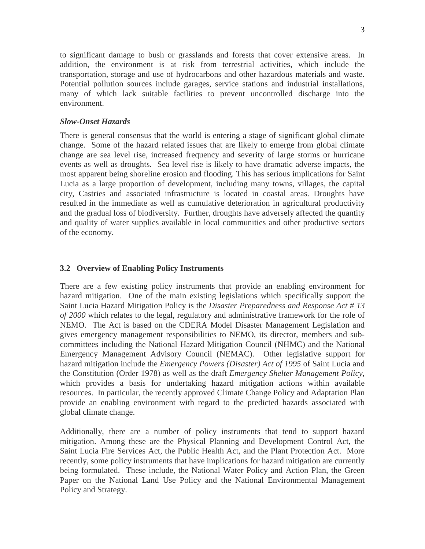to significant damage to bush or grasslands and forests that cover extensive areas. In addition, the environment is at risk from terrestrial activities, which include the transportation, storage and use of hydrocarbons and other hazardous materials and waste. Potential pollution sources include garages, service stations and industrial installations, many of which lack suitable facilities to prevent uncontrolled discharge into the environment.

#### *Slow-Onset Hazards*

There is general consensus that the world is entering a stage of significant global climate change. Some of the hazard related issues that are likely to emerge from global climate change are sea level rise, increased frequency and severity of large storms or hurricane events as well as droughts. Sea level rise is likely to have dramatic adverse impacts, the most apparent being shoreline erosion and flooding. This has serious implications for Saint Lucia as a large proportion of development, including many towns, villages, the capital city, Castries and associated infrastructure is located in coastal areas. Droughts have resulted in the immediate as well as cumulative deterioration in agricultural productivity and the gradual loss of biodiversity. Further, droughts have adversely affected the quantity and quality of water supplies available in local communities and other productive sectors of the economy.

#### **3.2 Overview of Enabling Policy Instruments**

There are a few existing policy instruments that provide an enabling environment for hazard mitigation. One of the main existing legislations which specifically support the Saint Lucia Hazard Mitigation Policy is the *Disaster Preparedness and Response Act # 13 of 2000* which relates to the legal, regulatory and administrative framework for the role of NEMO. The Act is based on the CDERA Model Disaster Management Legislation and gives emergency management responsibilities to NEMO, its director, members and subcommittees including the National Hazard Mitigation Council (NHMC) and the National Emergency Management Advisory Council (NEMAC). Other legislative support for hazard mitigation include the *Emergency Powers (Disaster) Act of 1995* of Saint Lucia and the Constitution (Order 1978) as well as the draft *Emergency Shelter Management Policy,*  which provides a basis for undertaking hazard mitigation actions within available resources. In particular, the recently approved Climate Change Policy and Adaptation Plan provide an enabling environment with regard to the predicted hazards associated with global climate change.

Additionally, there are a number of policy instruments that tend to support hazard mitigation. Among these are the Physical Planning and Development Control Act, the Saint Lucia Fire Services Act, the Public Health Act, and the Plant Protection Act. More recently, some policy instruments that have implications for hazard mitigation are currently being formulated. These include, the National Water Policy and Action Plan, the Green Paper on the National Land Use Policy and the National Environmental Management Policy and Strategy.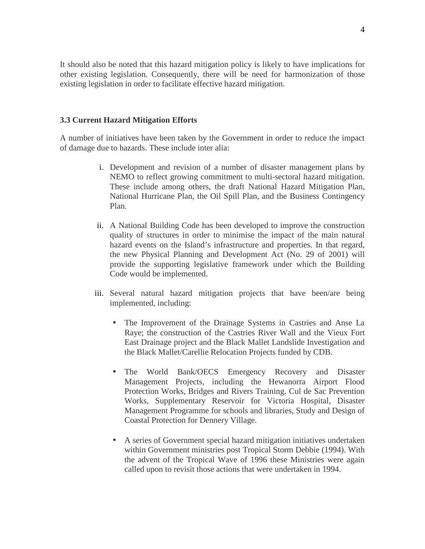It should also be noted that this hazard mitigation policy is likely to have implications for other existing legislation. Consequently, there will be need for harmonization of those existing legislation in order to facilitate effective hazard mitigation.

#### **3.3 Current Hazard Mitigation Efforts**

A number of initiatives have been taken by the Government in order to reduce the impact of damage due to hazards. These include inter alia:

- i. Development and revision of a number of disaster management plans by NEMO to reflect growing commitment to multi-sectoral hazard mitigation. These include among others, the draft National Hazard Mitigation Plan, National Hurricane Plan, the Oil Spill Plan, and the Business Contingency Plan.
- ii. A National Building Code has been developed to improve the construction quality of structures in order to minimise the impact of the main natural hazard events on the Island's infrastructure and properties. In that regard, the new Physical Planning and Development Act (No. 29 of 2001) will provide the supporting legislative framework under which the Building Code would be implemented.
- iii. Several natural hazard mitigation projects that have been/are being implemented, including:
	- The Improvement of the Drainage Systems in Castries and Anse La Raye; the construction of the Castries River Wall and the Vieux Fort East Drainage project and the Black Mallet Landslide Investigation and the Black Mallet/Carellie Relocation Projects funded by CDB.
	- The World Bank/OECS Emergency Recovery and Disaster Management Projects, including the Hewanorra Airport Flood Protection Works, Bridges and Rivers Training. Cul de Sac Prevention Works, Supplementary Reservoir for Victoria Hospital, Disaster Management Programme for schools and libraries, Study and Design of Coastal Protection for Dennery Village.
	- A series of Government special hazard mitigation initiatives undertaken within Government ministries post Tropical Storm Debbie (1994). With the advent of the Tropical Wave of 1996 these Ministries were again called upon to revisit those actions that were undertaken in 1994.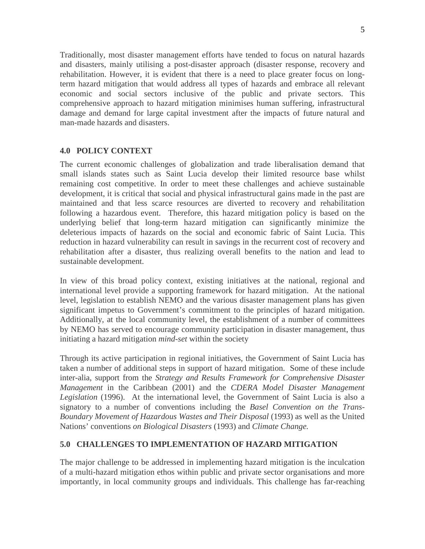Traditionally, most disaster management efforts have tended to focus on natural hazards and disasters, mainly utilising a post-disaster approach (disaster response, recovery and rehabilitation. However, it is evident that there is a need to place greater focus on longterm hazard mitigation that would address all types of hazards and embrace all relevant economic and social sectors inclusive of the public and private sectors. This comprehensive approach to hazard mitigation minimises human suffering, infrastructural damage and demand for large capital investment after the impacts of future natural and man-made hazards and disasters.

## **4.0 POLICY CONTEXT**

The current economic challenges of globalization and trade liberalisation demand that small islands states such as Saint Lucia develop their limited resource base whilst remaining cost competitive. In order to meet these challenges and achieve sustainable development, it is critical that social and physical infrastructural gains made in the past are maintained and that less scarce resources are diverted to recovery and rehabilitation following a hazardous event. Therefore, this hazard mitigation policy is based on the underlying belief that long-term hazard mitigation can significantly minimize the deleterious impacts of hazards on the social and economic fabric of Saint Lucia. This reduction in hazard vulnerability can result in savings in the recurrent cost of recovery and rehabilitation after a disaster, thus realizing overall benefits to the nation and lead to sustainable development.

In view of this broad policy context, existing initiatives at the national, regional and international level provide a supporting framework for hazard mitigation. At the national level, legislation to establish NEMO and the various disaster management plans has given significant impetus to Government's commitment to the principles of hazard mitigation. Additionally, at the local community level, the establishment of a number of committees by NEMO has served to encourage community participation in disaster management, thus initiating a hazard mitigation *mind-set* within the society

Through its active participation in regional initiatives, the Government of Saint Lucia has taken a number of additional steps in support of hazard mitigation. Some of these include inter-alia, support from the *Strategy and Results Framework for Comprehensive Disaster Management* in the Caribbean (2001) and the *CDERA Model Disaster Management Legislation* (1996). At the international level, the Government of Saint Lucia is also a signatory to a number of conventions including the *Basel Convention on the Trans-Boundary Movement of Hazardous Wastes and Their Disposal* (1993) as well as the United Nations' conventions *on Biological Disasters* (1993) and *Climate Change.*

# **5.0 CHALLENGES TO IMPLEMENTATION OF HAZARD MITIGATION**

The major challenge to be addressed in implementing hazard mitigation is the inculcation of a multi-hazard mitigation ethos within public and private sector organisations and more importantly, in local community groups and individuals. This challenge has far-reaching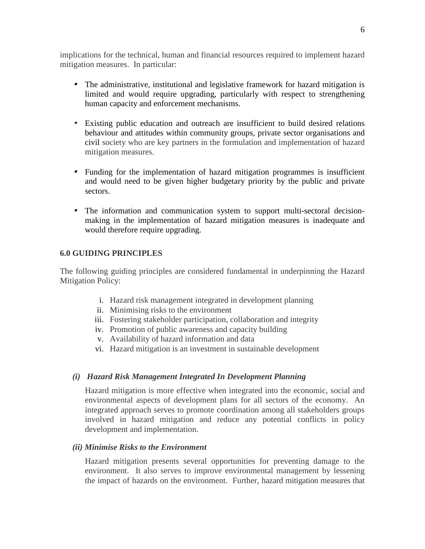implications for the technical, human and financial resources required to implement hazard mitigation measures. In particular:

- The administrative, institutional and legislative framework for hazard mitigation is limited and would require upgrading, particularly with respect to strengthening human capacity and enforcement mechanisms.
- Existing public education and outreach are insufficient to build desired relations behaviour and attitudes within community groups, private sector organisations and civil society who are key partners in the formulation and implementation of hazard mitigation measures.
- Funding for the implementation of hazard mitigation programmes is insufficient and would need to be given higher budgetary priority by the public and private sectors.
- • The information and communication system to support multi-sectoral decisionmaking in the implementation of hazard mitigation measures is inadequate and would therefore require upgrading.

#### **6.0 GUIDING PRINCIPLES**

The following guiding principles are considered fundamental in underpinning the Hazard Mitigation Policy:

- i. Hazard risk management integrated in development planning
- ii. Minimising risks to the environment
- iii. Fostering stakeholder participation, collaboration and integrity
- iv. Promotion of public awareness and capacity building
- v. Availability of hazard information and data
- vi. Hazard mitigation is an investment in sustainable development

# *(i) Hazard Risk Management Integrated In Development Planning*

Hazard mitigation is more effective when integrated into the economic, social and environmental aspects of development plans for all sectors of the economy. An integrated approach serves to promote coordination among all stakeholders groups involved in hazard mitigation and reduce any potential conflicts in policy development and implementation.

#### *(ii) Minimise Risks to the Environment*

Hazard mitigation presents several opportunities for preventing damage to the environment. It also serves to improve environmental management by lessening the impact of hazards on the environment. Further, hazard mitigation measures that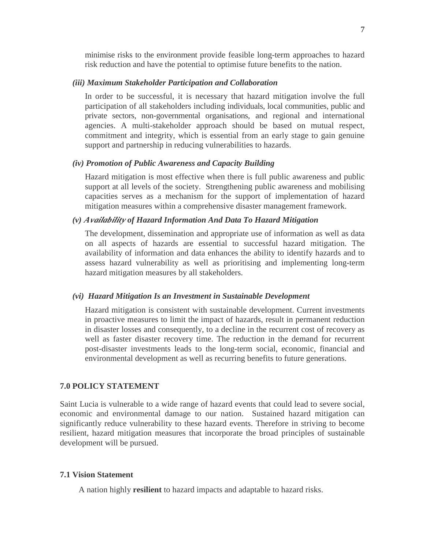minimise risks to the environment provide feasible long-term approaches to hazard risk reduction and have the potential to optimise future benefits to the nation.

#### *(iii) Maximum Stakeholder Participation and Collaboration*

In order to be successful, it is necessary that hazard mitigation involve the full participation of all stakeholders including individuals, local communities, public and private sectors, non-governmental organisations, and regional and international agencies. A multi-stakeholder approach should be based on mutual respect, commitment and integrity, which is essential from an early stage to gain genuine support and partnership in reducing vulnerabilities to hazards.

#### *(iv) Promotion of Public Awareness and Capacity Building*

Hazard mitigation is most effective when there is full public awareness and public support at all levels of the society. Strengthening public awareness and mobilising capacities serves as a mechanism for the support of implementation of hazard mitigation measures within a comprehensive disaster management framework.

#### *(v) Availability of Hazard Information And Data To Hazard Mitigation*

The development, dissemination and appropriate use of information as well as data on all aspects of hazards are essential to successful hazard mitigation. The availability of information and data enhances the ability to identify hazards and to assess hazard vulnerability as well as prioritising and implementing long-term hazard mitigation measures by all stakeholders.

#### *(vi) Hazard Mitigation Is an Investment in Sustainable Development*

Hazard mitigation is consistent with sustainable development. Current investments in proactive measures to limit the impact of hazards, result in permanent reduction in disaster losses and consequently, to a decline in the recurrent cost of recovery as well as faster disaster recovery time. The reduction in the demand for recurrent post-disaster investments leads to the long-term social, economic, financial and environmental development as well as recurring benefits to future generations.

#### **7.0 POLICY STATEMENT**

Saint Lucia is vulnerable to a wide range of hazard events that could lead to severe social, economic and environmental damage to our nation. Sustained hazard mitigation can significantly reduce vulnerability to these hazard events. Therefore in striving to become resilient, hazard mitigation measures that incorporate the broad principles of sustainable development will be pursued.

#### **7.1 Vision Statement**

A nation highly **resilient** to hazard impacts and adaptable to hazard risks.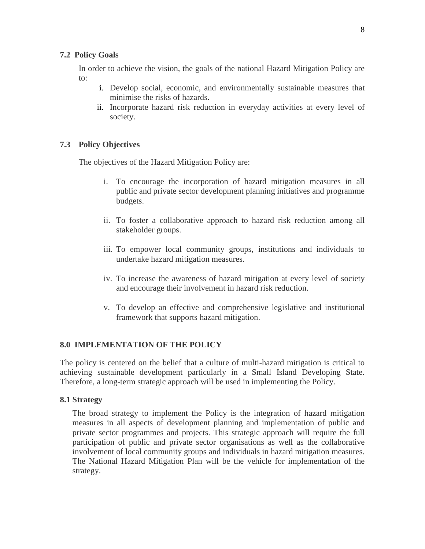#### **7.2 Policy Goals**

In order to achieve the vision, the goals of the national Hazard Mitigation Policy are to:

- i. Develop social, economic, and environmentally sustainable measures that minimise the risks of hazards.
- ii. Incorporate hazard risk reduction in everyday activities at every level of society.

## **7.3 Policy Objectives**

The objectives of the Hazard Mitigation Policy are:

- i. To encourage the incorporation of hazard mitigation measures in all public and private sector development planning initiatives and programme budgets.
- ii. To foster a collaborative approach to hazard risk reduction among all stakeholder groups.
- iii. To empower local community groups, institutions and individuals to undertake hazard mitigation measures.
- iv. To increase the awareness of hazard mitigation at every level of society and encourage their involvement in hazard risk reduction.
- v. To develop an effective and comprehensive legislative and institutional framework that supports hazard mitigation.

#### **8.0 IMPLEMENTATION OF THE POLICY**

The policy is centered on the belief that a culture of multi-hazard mitigation is critical to achieving sustainable development particularly in a Small Island Developing State. Therefore, a long-term strategic approach will be used in implementing the Policy.

#### **8.1 Strategy**

The broad strategy to implement the Policy is the integration of hazard mitigation measures in all aspects of development planning and implementation of public and private sector programmes and projects. This strategic approach will require the full participation of public and private sector organisations as well as the collaborative involvement of local community groups and individuals in hazard mitigation measures. The National Hazard Mitigation Plan will be the vehicle for implementation of the strategy.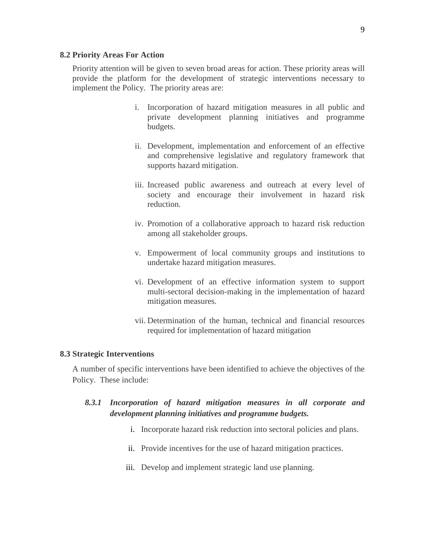#### **8.2 Priority Areas For Action**

Priority attention will be given to seven broad areas for action. These priority areas will provide the platform for the development of strategic interventions necessary to implement the Policy. The priority areas are:

- i. Incorporation of hazard mitigation measures in all public and private development planning initiatives and programme budgets.
- ii. Development, implementation and enforcement of an effective and comprehensive legislative and regulatory framework that supports hazard mitigation.
- iii. Increased public awareness and outreach at every level of society and encourage their involvement in hazard risk reduction.
- iv. Promotion of a collaborative approach to hazard risk reduction among all stakeholder groups.
- v. Empowerment of local community groups and institutions to undertake hazard mitigation measures.
- vi. Development of an effective information system to support multi-sectoral decision-making in the implementation of hazard mitigation measures.
- vii. Determination of the human, technical and financial resources required for implementation of hazard mitigation

#### **8.3 Strategic Interventions**

A number of specific interventions have been identified to achieve the objectives of the Policy. These include:

# *8.3.1 Incorporation of hazard mitigation measures in all corporate and development planning initiatives and programme budgets.*

- i. Incorporate hazard risk reduction into sectoral policies and plans.
- ii. Provide incentives for the use of hazard mitigation practices.
- iii. Develop and implement strategic land use planning.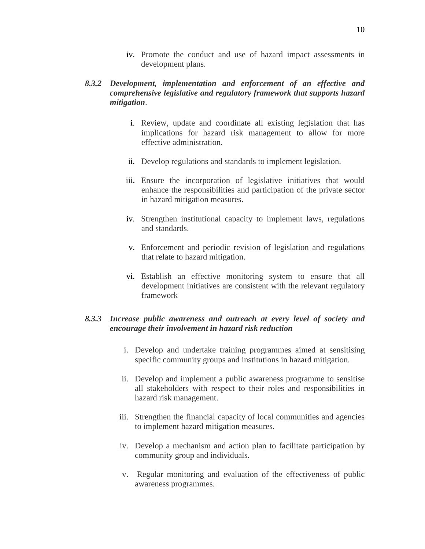iv. Promote the conduct and use of hazard impact assessments in development plans.

## *8.3.2 Development, implementation and enforcement of an effective and comprehensive legislative and regulatory framework that supports hazard mitigation*.

- i. Review, update and coordinate all existing legislation that has implications for hazard risk management to allow for more effective administration.
- ii. Develop regulations and standards to implement legislation.
- iii. Ensure the incorporation of legislative initiatives that would enhance the responsibilities and participation of the private sector in hazard mitigation measures.
- iv. Strengthen institutional capacity to implement laws, regulations and standards.
- v. Enforcement and periodic revision of legislation and regulations that relate to hazard mitigation.
- vi. Establish an effective monitoring system to ensure that all development initiatives are consistent with the relevant regulatory framework

# *8.3.3 Increase public awareness and outreach at every level of society and encourage their involvement in hazard risk reduction*

- i. Develop and undertake training programmes aimed at sensitising specific community groups and institutions in hazard mitigation.
- ii. Develop and implement a public awareness programme to sensitise all stakeholders with respect to their roles and responsibilities in hazard risk management.
- iii. Strengthen the financial capacity of local communities and agencies to implement hazard mitigation measures.
- iv. Develop a mechanism and action plan to facilitate participation by community group and individuals.
- v. Regular monitoring and evaluation of the effectiveness of public awareness programmes.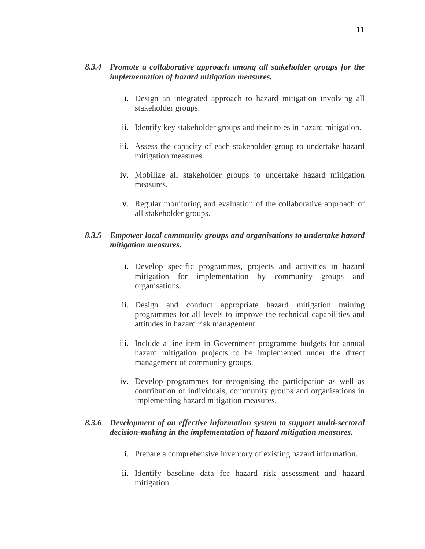- i. Design an integrated approach to hazard mitigation involving all stakeholder groups.
- ii. Identify key stakeholder groups and their roles in hazard mitigation.
- iii. Assess the capacity of each stakeholder group to undertake hazard mitigation measures.
- iv. Mobilize all stakeholder groups to undertake hazard mitigation measures.
- v. Regular monitoring and evaluation of the collaborative approach of all stakeholder groups.

## *8.3.5 Empower local community groups and organisations to undertake hazard mitigation measures.*

- i. Develop specific programmes, projects and activities in hazard mitigation for implementation by community groups and organisations.
- ii. Design and conduct appropriate hazard mitigation training programmes for all levels to improve the technical capabilities and attitudes in hazard risk management.
- iii. Include a line item in Government programme budgets for annual hazard mitigation projects to be implemented under the direct management of community groups.
- iv. Develop programmes for recognising the participation as well as contribution of individuals, community groups and organisations in implementing hazard mitigation measures.

# *8.3.6 Development of an effective information system to support multi-sectoral decision-making in the implementation of hazard mitigation measures.*

- i. Prepare a comprehensive inventory of existing hazard information.
- ii. Identify baseline data for hazard risk assessment and hazard mitigation.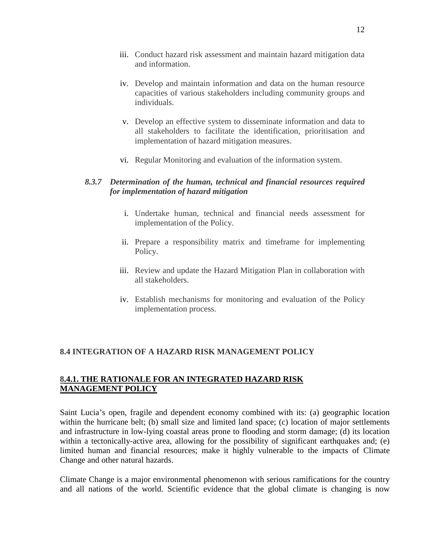- iii. Conduct hazard risk assessment and maintain hazard mitigation data and information.
- iv. Develop and maintain information and data on the human resource capacities of various stakeholders including community groups and individuals.
- v. Develop an effective system to disseminate information and data to all stakeholders to facilitate the identification, prioritisation and implementation of hazard mitigation measures.
- vi. Regular Monitoring and evaluation of the information system.

# *8.3.7 Determination of the human, technical and financial resources required for implementation of hazard mitigation*

- i. Undertake human, technical and financial needs assessment for implementation of the Policy.
- ii. Prepare a responsibility matrix and timeframe for implementing Policy.
- iii. Review and update the Hazard Mitigation Plan in collaboration with all stakeholders.
- iv. Establish mechanisms for monitoring and evaluation of the Policy implementation process.

# **8.4 INTEGRATION OF A HAZARD RISK MANAGEMENT POLICY**

# **8.4.1. THE RATIONALE FOR AN INTEGRATED HAZARD RISK MANAGEMENT POLICY**

Saint Lucia's open, fragile and dependent economy combined with its: (a) geographic location within the hurricane belt; (b) small size and limited land space; (c) location of major settlements and infrastructure in low-lying coastal areas prone to flooding and storm damage; (d) its location within a tectonically-active area, allowing for the possibility of significant earthquakes and; (e) limited human and financial resources; make it highly vulnerable to the impacts of Climate Change and other natural hazards.

Climate Change is a major environmental phenomenon with serious ramifications for the country and all nations of the world. Scientific evidence that the global climate is changing is now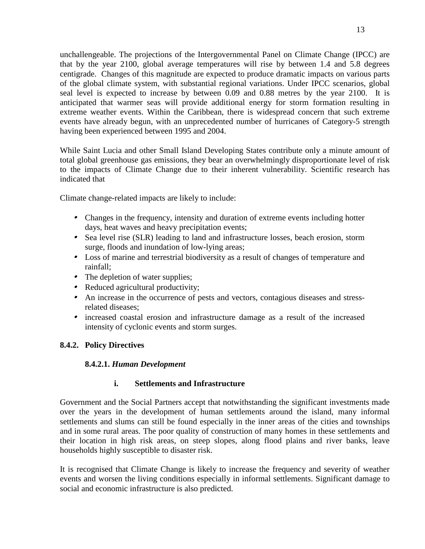unchallengeable. The projections of the Intergovernmental Panel on Climate Change (IPCC) are that by the year 2100, global average temperatures will rise by between 1.4 and 5.8 degrees centigrade. Changes of this magnitude are expected to produce dramatic impacts on various parts of the global climate system, with substantial regional variations. Under IPCC scenarios, global seal level is expected to increase by between 0.09 and 0.88 metres by the year 2100. It is anticipated that warmer seas will provide additional energy for storm formation resulting in extreme weather events. Within the Caribbean, there is widespread concern that such extreme events have already begun, with an unprecedented number of hurricanes of Category-5 strength having been experienced between 1995 and 2004.

While Saint Lucia and other Small Island Developing States contribute only a minute amount of total global greenhouse gas emissions, they bear an overwhelmingly disproportionate level of risk to the impacts of Climate Change due to their inherent vulnerability. Scientific research has indicated that

Climate change-related impacts are likely to include:

- Changes in the frequency, intensity and duration of extreme events including hotter days, heat waves and heavy precipitation events;
- Sea level rise (SLR) leading to land and infrastructure losses, beach erosion, storm surge, floods and inundation of low-lying areas;
- Loss of marine and terrestrial biodiversity as a result of changes of temperature and rainfall;
- The depletion of water supplies;
- Reduced agricultural productivity;
- An increase in the occurrence of pests and vectors, contagious diseases and stressrelated diseases;
- increased coastal erosion and infrastructure damage as a result of the increased intensity of cyclonic events and storm surges.

# **8.4.2. Policy Directives**

# **8.4.2.1.** *Human Development*

# **i. Settlements and Infrastructure**

Government and the Social Partners accept that notwithstanding the significant investments made over the years in the development of human settlements around the island, many informal settlements and slums can still be found especially in the inner areas of the cities and townships and in some rural areas. The poor quality of construction of many homes in these settlements and their location in high risk areas, on steep slopes, along flood plains and river banks, leave households highly susceptible to disaster risk.

It is recognised that Climate Change is likely to increase the frequency and severity of weather events and worsen the living conditions especially in informal settlements. Significant damage to social and economic infrastructure is also predicted.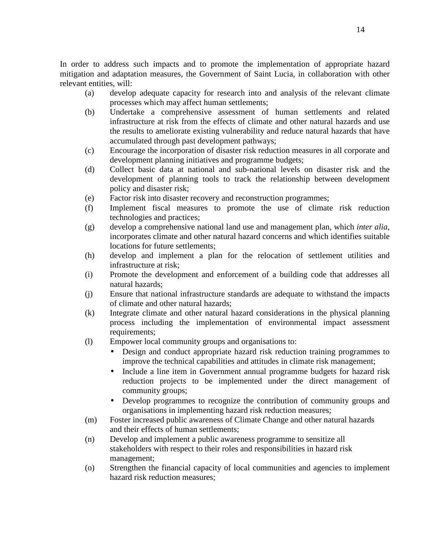In order to address such impacts and to promote the implementation of appropriate hazard mitigation and adaptation measures, the Government of Saint Lucia, in collaboration with other relevant entities, will:

- (a) develop adequate capacity for research into and analysis of the relevant climate processes which may affect human settlements;
- (b) Undertake a comprehensive assessment of human settlements and related infrastructure at risk from the effects of climate and other natural hazards and use the results to ameliorate existing vulnerability and reduce natural hazards that have accumulated through past development pathways;
- (c) Encourage the incorporation of disaster risk reduction measures in all corporate and development planning initiatives and programme budgets;
- (d) Collect basic data at national and sub-national levels on disaster risk and the development of planning tools to track the relationship between development policy and disaster risk;
- (e) Factor risk into disaster recovery and reconstruction programmes;
- (f) Implement fiscal measures to promote the use of climate risk reduction technologies and practices;
- (g) develop a comprehensive national land use and management plan, which *inter alia*, incorporates climate and other natural hazard concerns and which identifies suitable locations for future settlements;
- (h) develop and implement a plan for the relocation of settlement utilities and infrastructure at risk;
- (i) Promote the development and enforcement of a building code that addresses all natural hazards;
- (j) Ensure that national infrastructure standards are adequate to withstand the impacts of climate and other natural hazards;
- (k) Integrate climate and other natural hazard considerations in the physical planning process including the implementation of environmental impact assessment requirements;
- (l) Empower local community groups and organisations to:
	- Design and conduct appropriate hazard risk reduction training programmes to improve the technical capabilities and attitudes in climate risk management;
	- Include a line item in Government annual programme budgets for hazard risk reduction projects to be implemented under the direct management of community groups;
	- Develop programmes to recognize the contribution of community groups and organisations in implementing hazard risk reduction measures;
- (m) Foster increased public awareness of Climate Change and other natural hazards and their effects of human settlements;
- (n) Develop and implement a public awareness programme to sensitize all stakeholders with respect to their roles and responsibilities in hazard risk management;
- (o) Strengthen the financial capacity of local communities and agencies to implement hazard risk reduction measures;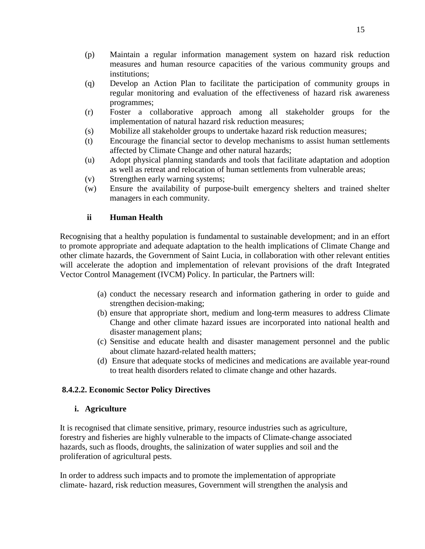- (p) Maintain a regular information management system on hazard risk reduction measures and human resource capacities of the various community groups and institutions;
- (q) Develop an Action Plan to facilitate the participation of community groups in regular monitoring and evaluation of the effectiveness of hazard risk awareness programmes;
- (r) Foster a collaborative approach among all stakeholder groups for the implementation of natural hazard risk reduction measures;
- (s) Mobilize all stakeholder groups to undertake hazard risk reduction measures;
- (t) Encourage the financial sector to develop mechanisms to assist human settlements affected by Climate Change and other natural hazards;
- (u) Adopt physical planning standards and tools that facilitate adaptation and adoption as well as retreat and relocation of human settlements from vulnerable areas;
- (v) Strengthen early warning systems;
- (w) Ensure the availability of purpose-built emergency shelters and trained shelter managers in each community.

# **ii Human Health**

Recognising that a healthy population is fundamental to sustainable development; and in an effort to promote appropriate and adequate adaptation to the health implications of Climate Change and other climate hazards, the Government of Saint Lucia, in collaboration with other relevant entities will accelerate the adoption and implementation of relevant provisions of the draft Integrated Vector Control Management (IVCM) Policy. In particular, the Partners will:

- (a) conduct the necessary research and information gathering in order to guide and strengthen decision-making;
- (b) ensure that appropriate short, medium and long-term measures to address Climate Change and other climate hazard issues are incorporated into national health and disaster management plans;
- (c) Sensitise and educate health and disaster management personnel and the public about climate hazard-related health matters;
- (d) Ensure that adequate stocks of medicines and medications are available year-round to treat health disorders related to climate change and other hazards.

#### **8.4.2.2. Economic Sector Policy Directives**

#### **i. Agriculture**

It is recognised that climate sensitive, primary, resource industries such as agriculture, forestry and fisheries are highly vulnerable to the impacts of Climate-change associated hazards, such as floods, droughts, the salinization of water supplies and soil and the proliferation of agricultural pests.

In order to address such impacts and to promote the implementation of appropriate climate- hazard, risk reduction measures, Government will strengthen the analysis and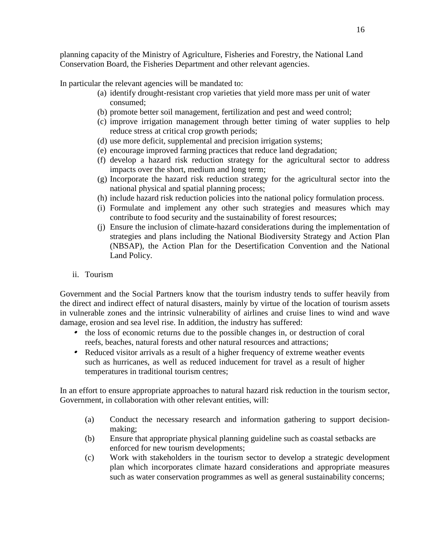planning capacity of the Ministry of Agriculture, Fisheries and Forestry, the National Land Conservation Board, the Fisheries Department and other relevant agencies.

In particular the relevant agencies will be mandated to:

- (a) identify drought-resistant crop varieties that yield more mass per unit of water consumed;
- (b) promote better soil management, fertilization and pest and weed control;
- (c) improve irrigation management through better timing of water supplies to help reduce stress at critical crop growth periods;
- (d) use more deficit, supplemental and precision irrigation systems;
- (e) encourage improved farming practices that reduce land degradation;
- (f) develop a hazard risk reduction strategy for the agricultural sector to address impacts over the short, medium and long term;
- (g) Incorporate the hazard risk reduction strategy for the agricultural sector into the national physical and spatial planning process;
- (h) include hazard risk reduction policies into the national policy formulation process.
- (i) Formulate and implement any other such strategies and measures which may contribute to food security and the sustainability of forest resources;
- (j) Ensure the inclusion of climate-hazard considerations during the implementation of strategies and plans including the National Biodiversity Strategy and Action Plan (NBSAP), the Action Plan for the Desertification Convention and the National Land Policy.
- ii. Tourism

Government and the Social Partners know that the tourism industry tends to suffer heavily from the direct and indirect effect of natural disasters, mainly by virtue of the location of tourism assets in vulnerable zones and the intrinsic vulnerability of airlines and cruise lines to wind and wave damage, erosion and sea level rise. In addition, the industry has suffered:

- the loss of economic returns due to the possible changes in, or destruction of coral reefs, beaches, natural forests and other natural resources and attractions;
- Reduced visitor arrivals as a result of a higher frequency of extreme weather events such as hurricanes, as well as reduced inducement for travel as a result of higher temperatures in traditional tourism centres;

In an effort to ensure appropriate approaches to natural hazard risk reduction in the tourism sector, Government, in collaboration with other relevant entities, will:

- (a) Conduct the necessary research and information gathering to support decisionmaking;
- (b) Ensure that appropriate physical planning guideline such as coastal setbacks are enforced for new tourism developments;
- (c) Work with stakeholders in the tourism sector to develop a strategic development plan which incorporates climate hazard considerations and appropriate measures such as water conservation programmes as well as general sustainability concerns;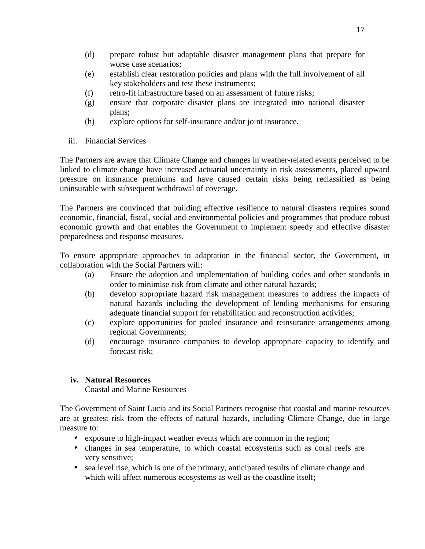- (d) prepare robust but adaptable disaster management plans that prepare for worse case scenarios;
- (e) establish clear restoration policies and plans with the full involvement of all key stakeholders and test these instruments;
- (f) retro-fit infrastructure based on an assessment of future risks;
- (g) ensure that corporate disaster plans are integrated into national disaster plans;
- (h) explore options for self-insurance and/or joint insurance.
- iii. Financial Services

The Partners are aware that Climate Change and changes in weather-related events perceived to be linked to climate change have increased actuarial uncertainty in risk assessments, placed upward pressure on insurance premiums and have caused certain risks being reclassified as being uninsurable with subsequent withdrawal of coverage.

The Partners are convinced that building effective resilience to natural disasters requires sound economic, financial, fiscal, social and environmental policies and programmes that produce robust economic growth and that enables the Government to implement speedy and effective disaster preparedness and response measures.

To ensure appropriate approaches to adaptation in the financial sector, the Government, in collaboration with the Social Partners will:

- (a) Ensure the adoption and implementation of building codes and other standards in order to minimise risk from climate and other natural hazards;
- (b) develop appropriate hazard risk management measures to address the impacts of natural hazards including the development of lending mechanisms for ensuring adequate financial support for rehabilitation and reconstruction activities;
- (c) explore opportunities for pooled insurance and reinsurance arrangements among regional Governments;
- (d) encourage insurance companies to develop appropriate capacity to identify and forecast risk;

# **iv. Natural Resources**

Coastal and Marine Resources

The Government of Saint Lucia and its Social Partners recognise that coastal and marine resources are at greatest risk from the effects of natural hazards, including Climate Change, due in large measure to:

- exposure to high-impact weather events which are common in the region;
- changes in sea temperature, to which coastal ecosystems such as coral reefs are very sensitive;
- sea level rise, which is one of the primary, anticipated results of climate change and which will affect numerous ecosystems as well as the coastline itself;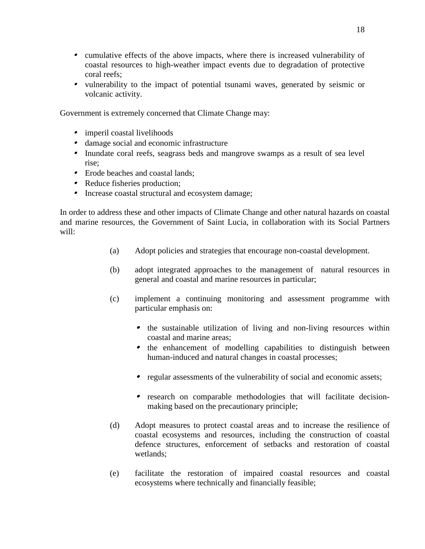- cumulative effects of the above impacts, where there is increased vulnerability of coastal resources to high-weather impact events due to degradation of protective coral reefs;
- vulnerability to the impact of potential tsunami waves, generated by seismic or volcanic activity.

Government is extremely concerned that Climate Change may:

- imperil coastal livelihoods
- damage social and economic infrastructure
- Inundate coral reefs, seagrass beds and mangrove swamps as a result of sea level rise;
- Erode beaches and coastal lands;
- Reduce fisheries production;
- Increase coastal structural and ecosystem damage;

In order to address these and other impacts of Climate Change and other natural hazards on coastal and marine resources, the Government of Saint Lucia, in collaboration with its Social Partners will:

- (a) Adopt policies and strategies that encourage non-coastal development.
- (b) adopt integrated approaches to the management of natural resources in general and coastal and marine resources in particular;
- (c) implement a continuing monitoring and assessment programme with particular emphasis on:
	- the sustainable utilization of living and non-living resources within coastal and marine areas;
	- the enhancement of modelling capabilities to distinguish between human-induced and natural changes in coastal processes;
	- regular assessments of the vulnerability of social and economic assets;
	- research on comparable methodologies that will facilitate decisionmaking based on the precautionary principle;
- (d) Adopt measures to protect coastal areas and to increase the resilience of coastal ecosystems and resources, including the construction of coastal defence structures, enforcement of setbacks and restoration of coastal wetlands;
- (e) facilitate the restoration of impaired coastal resources and coastal ecosystems where technically and financially feasible;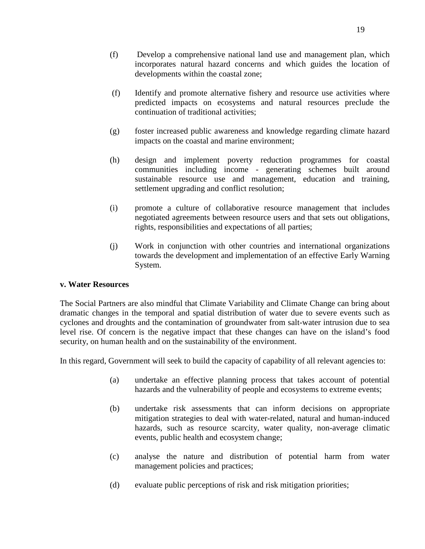- (f) Develop a comprehensive national land use and management plan, which incorporates natural hazard concerns and which guides the location of developments within the coastal zone;
- (f) Identify and promote alternative fishery and resource use activities where predicted impacts on ecosystems and natural resources preclude the continuation of traditional activities;
- (g) foster increased public awareness and knowledge regarding climate hazard impacts on the coastal and marine environment;
- (h) design and implement poverty reduction programmes for coastal communities including income - generating schemes built around sustainable resource use and management, education and training, settlement upgrading and conflict resolution;
- (i) promote a culture of collaborative resource management that includes negotiated agreements between resource users and that sets out obligations, rights, responsibilities and expectations of all parties;
- (j) Work in conjunction with other countries and international organizations towards the development and implementation of an effective Early Warning System.

#### **v. Water Resources**

The Social Partners are also mindful that Climate Variability and Climate Change can bring about dramatic changes in the temporal and spatial distribution of water due to severe events such as cyclones and droughts and the contamination of groundwater from salt-water intrusion due to sea level rise. Of concern is the negative impact that these changes can have on the island's food security, on human health and on the sustainability of the environment.

In this regard, Government will seek to build the capacity of capability of all relevant agencies to:

- (a) undertake an effective planning process that takes account of potential hazards and the vulnerability of people and ecosystems to extreme events;
- (b) undertake risk assessments that can inform decisions on appropriate mitigation strategies to deal with water-related, natural and human-induced hazards, such as resource scarcity, water quality, non-average climatic events, public health and ecosystem change;
- (c) analyse the nature and distribution of potential harm from water management policies and practices;
- (d) evaluate public perceptions of risk and risk mitigation priorities;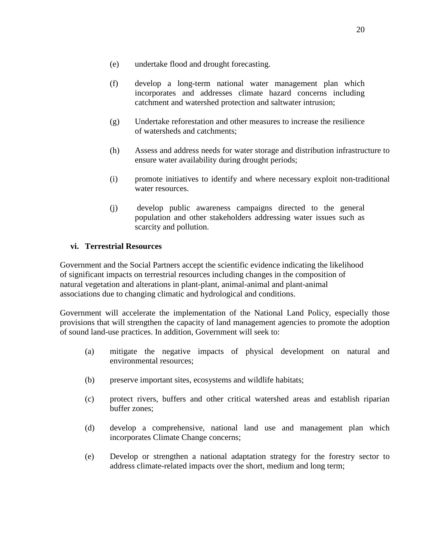- (e) undertake flood and drought forecasting.
- (f) develop a long-term national water management plan which incorporates and addresses climate hazard concerns including catchment and watershed protection and saltwater intrusion;
- (g) Undertake reforestation and other measures to increase the resilience of watersheds and catchments;
- (h) Assess and address needs for water storage and distribution infrastructure to ensure water availability during drought periods;
- (i) promote initiatives to identify and where necessary exploit non-traditional water resources.
- (j) develop public awareness campaigns directed to the general population and other stakeholders addressing water issues such as scarcity and pollution.

# **vi. Terrestrial Resources**

Government and the Social Partners accept the scientific evidence indicating the likelihood of significant impacts on terrestrial resources including changes in the composition of natural vegetation and alterations in plant-plant, animal-animal and plant-animal associations due to changing climatic and hydrological and conditions.

Government will accelerate the implementation of the National Land Policy, especially those provisions that will strengthen the capacity of land management agencies to promote the adoption of sound land-use practices. In addition, Government will seek to:

- (a) mitigate the negative impacts of physical development on natural and environmental resources;
- (b) preserve important sites, ecosystems and wildlife habitats;
- (c) protect rivers, buffers and other critical watershed areas and establish riparian buffer zones;
- (d) develop a comprehensive, national land use and management plan which incorporates Climate Change concerns;
- (e) Develop or strengthen a national adaptation strategy for the forestry sector to address climate-related impacts over the short, medium and long term;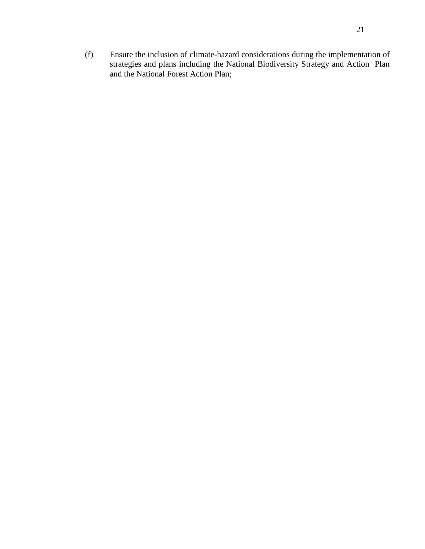(f) Ensure the inclusion of climate-hazard considerations during the implementation of strategies and plans including the National Biodiversity Strategy and Action Plan and the National Forest Action Plan;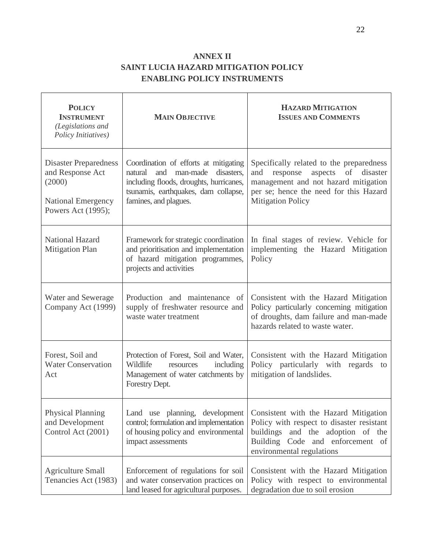# **ANNEX II SAINT LUCIA HAZARD MITIGATION POLICY ENABLING POLICY INSTRUMENTS**

| <b>POLICY</b><br><b>INSTRUMENT</b><br>(Legislations and<br>Policy Initiatives)                                | <b>MAIN OBJECTIVE</b>                                                                                                                                                                      | <b>HAZARD MITIGATION</b><br><b>ISSUES AND COMMENTS</b>                                                                                                                                        |
|---------------------------------------------------------------------------------------------------------------|--------------------------------------------------------------------------------------------------------------------------------------------------------------------------------------------|-----------------------------------------------------------------------------------------------------------------------------------------------------------------------------------------------|
| <b>Disaster Preparedness</b><br>and Response Act<br>(2000)<br><b>National Emergency</b><br>Powers Act (1995); | Coordination of efforts at mitigating<br>natural and<br>man-made<br>disasters,<br>including floods, droughts, hurricanes,<br>tsunamis, earthquakes, dam collapse,<br>famines, and plagues. | Specifically related to the preparedness<br>aspects of disaster<br>and response<br>management and not hazard mitigation<br>per se; hence the need for this Hazard<br><b>Mitigation Policy</b> |
| National Hazard<br><b>Mitigation Plan</b>                                                                     | Framework for strategic coordination<br>and prioritisation and implementation<br>of hazard mitigation programmes,<br>projects and activities                                               | In final stages of review. Vehicle for<br>implementing the Hazard Mitigation<br>Policy                                                                                                        |
| Water and Sewerage<br>Company Act (1999)                                                                      | Production and maintenance of<br>supply of freshwater resource and<br>waste water treatment                                                                                                | Consistent with the Hazard Mitigation<br>Policy particularly concerning mitigation<br>of droughts, dam failure and man-made<br>hazards related to waste water.                                |
| Forest, Soil and<br><b>Water Conservation</b><br>Act                                                          | Protection of Forest, Soil and Water,<br>Wildlife<br>including<br>resources<br>Management of water catchments by<br>Forestry Dept.                                                         | Consistent with the Hazard Mitigation<br>Policy particularly with regards<br>to<br>mitigation of landslides.                                                                                  |
| Physical Planning<br>and Development<br>Control Act (2001)                                                    | Land use planning, development<br>control; formulation and implementation<br>of housing policy and environmental<br>impact assessments                                                     | Consistent with the Hazard Mitigation<br>Policy with respect to disaster resistant<br>and the adoption of the<br>buildings<br>Building Code and enforcement of<br>environmental regulations   |
| <b>Agriculture Small</b><br>Tenancies Act (1983)                                                              | Enforcement of regulations for soil<br>and water conservation practices on<br>land leased for agricultural purposes.                                                                       | Consistent with the Hazard Mitigation<br>Policy with respect to environmental<br>degradation due to soil erosion                                                                              |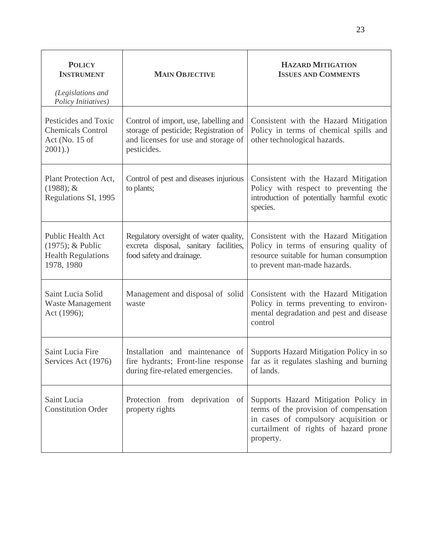| <b>POLICY</b><br><b>INSTRUMENT</b><br>(Legislations and                          | <b>MAIN OBJECTIVE</b>                                                                                                                | <b>HAZARD MITIGATION</b><br><b>ISSUES AND COMMENTS</b>                                                                                                                        |
|----------------------------------------------------------------------------------|--------------------------------------------------------------------------------------------------------------------------------------|-------------------------------------------------------------------------------------------------------------------------------------------------------------------------------|
| Policy Initiatives)                                                              |                                                                                                                                      |                                                                                                                                                                               |
| Pesticides and Toxic<br><b>Chemicals Control</b><br>Act (No. 15 of<br>$2001)$ .) | Control of import, use, labelling and<br>storage of pesticide; Registration of<br>and licenses for use and storage of<br>pesticides. | Consistent with the Hazard Mitigation<br>Policy in terms of chemical spills and<br>other technological hazards.                                                               |
| Plant Protection Act,<br>$(1988); \&$<br>Regulations SI, 1995                    | Control of pest and diseases injurious<br>to plants;                                                                                 | Consistent with the Hazard Mitigation<br>Policy with respect to preventing the<br>introduction of potentially harmful exotic<br>species.                                      |
| Public Health Act<br>(1975); & Public<br><b>Health Regulations</b><br>1978, 1980 | Regulatory oversight of water quality,<br>excreta disposal, sanitary facilities,<br>food safety and drainage.                        | Consistent with the Hazard Mitigation<br>Policy in terms of ensuring quality of<br>resource suitable for human consumption<br>to prevent man-made hazards.                    |
| Saint Lucia Solid<br><b>Waste Management</b><br>Act (1996);                      | Management and disposal of solid<br>waste                                                                                            | Consistent with the Hazard Mitigation<br>Policy in terms preventing to environ-<br>mental degradation and pest and disease<br>control                                         |
| Saint Lucia Fire<br>Services Act (1976)                                          | Installation and maintenance of<br>fire hydrants; Front-line response<br>during fire-related emergencies.                            | Supports Hazard Mitigation Policy in so<br>far as it regulates slashing and burning<br>of lands.                                                                              |
| Saint Lucia<br><b>Constitution Order</b>                                         | Protection from deprivation of<br>property rights                                                                                    | Supports Hazard Mitigation Policy in<br>terms of the provision of compensation<br>in cases of compulsory acquisition or<br>curtailment of rights of hazard prone<br>property. |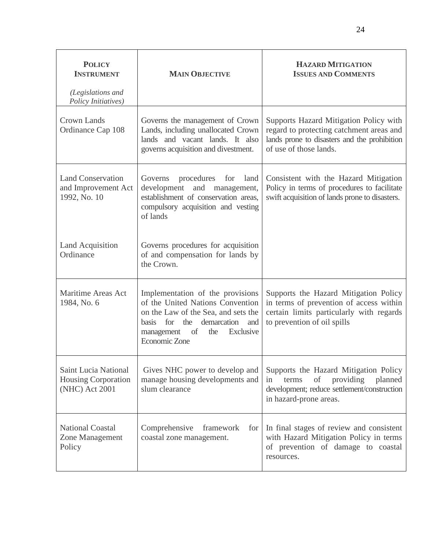| <b>POLICY</b><br><b>INSTRUMENT</b><br>(Legislations and                     | <b>MAIN OBJECTIVE</b>                                                                                                                                                                                    | <b>HAZARD MITIGATION</b><br><b>ISSUES AND COMMENTS</b>                                                                                                       |
|-----------------------------------------------------------------------------|----------------------------------------------------------------------------------------------------------------------------------------------------------------------------------------------------------|--------------------------------------------------------------------------------------------------------------------------------------------------------------|
| Policy Initiatives)<br><b>Crown Lands</b><br>Ordinance Cap 108              | Governs the management of Crown<br>Lands, including unallocated Crown<br>lands and vacant lands. It also<br>governs acquisition and divestment.                                                          | Supports Hazard Mitigation Policy with<br>regard to protecting catchment areas and<br>lands prone to disasters and the prohibition<br>of use of those lands. |
| <b>Land Conservation</b><br>and Improvement Act<br>1992, No. 10             | procedures<br>Governs<br>land<br>for<br>development<br>and<br>management,<br>establishment of conservation areas,<br>compulsory acquisition and vesting<br>of lands                                      | Consistent with the Hazard Mitigation<br>Policy in terms of procedures to facilitate<br>swift acquisition of lands prone to disasters.                       |
| Land Acquisition<br>Ordinance                                               | Governs procedures for acquisition<br>of and compensation for lands by<br>the Crown.                                                                                                                     |                                                                                                                                                              |
| <b>Maritime Areas Act</b><br>1984, No. 6                                    | Implementation of the provisions<br>of the United Nations Convention<br>on the Law of the Sea, and sets the<br>the demarcation and<br>basis for<br>of<br>Exclusive<br>management<br>the<br>Economic Zone | Supports the Hazard Mitigation Policy<br>in terms of prevention of access within<br>certain limits particularly with regards<br>to prevention of oil spills  |
| <b>Saint Lucia National</b><br><b>Housing Corporation</b><br>(NHC) Act 2001 | Gives NHC power to develop and<br>manage housing developments and<br>slum clearance                                                                                                                      | Supports the Hazard Mitigation Policy<br>providing<br>of<br>planned<br>in<br>terms<br>development; reduce settlement/construction<br>in hazard-prone areas.  |
| <b>National Coastal</b><br>Zone Management<br>Policy                        | Comprehensive<br>framework<br>for<br>coastal zone management.                                                                                                                                            | In final stages of review and consistent<br>with Hazard Mitigation Policy in terms<br>of prevention of damage to coastal<br>resources.                       |